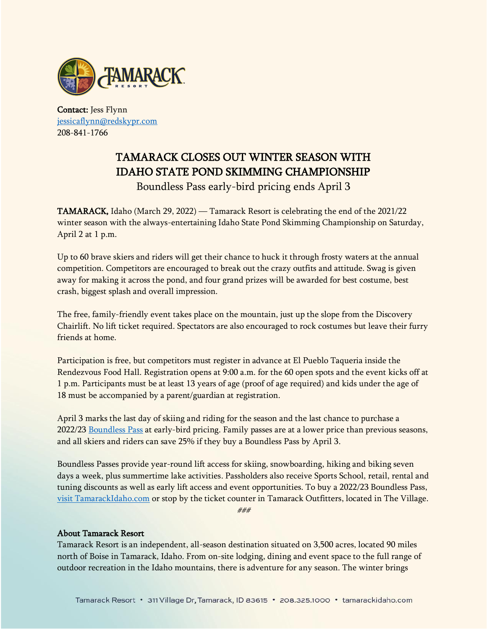

Contact: Jess Flynn [jessicaflynn@redskypr.com](mailto:jessicaflynn@redskypr.com) 208-841-1766

## TAMARACK CLOSES OUT WINTER SEASON WITH IDAHO STATE POND SKIMMING CHAMPIONSHIP

Boundless Pass early-bird pricing ends April 3

TAMARACK, Idaho (March 29, 2022) — Tamarack Resort is celebrating the end of the 2021/22 winter season with the always-entertaining Idaho State Pond Skimming Championship on Saturday, April 2 at 1 p.m.

Up to 60 brave skiers and riders will get their chance to huck it through frosty waters at the annual competition. Competitors are encouraged to break out the crazy outfits and attitude. Swag is given away for making it across the pond, and four grand prizes will be awarded for best costume, best crash, biggest splash and overall impression.

The free, family-friendly event takes place on the mountain, just up the slope from the Discovery Chairlift. No lift ticket required. Spectators are also encouraged to rock costumes but leave their furry friends at home.

Participation is free, but competitors must register in advance at El Pueblo Taqueria inside the Rendezvous Food Hall. Registration opens at 9:00 a.m. for the 60 open spots and the event kicks off at 1 p.m. Participants must be at least 13 years of age (proof of age required) and kids under the age of 18 must be accompanied by a parent/guardian at registration.

April 3 marks the last day of skiing and riding for the season and the last chance to purchase a 2022/23 [Boundless Pass](https://tamarackidaho.com/activities/passes/all-season) at early-bird pricing. Family passes are at a lower price than previous seasons, and all skiers and riders can save 25% if they buy a Boundless Pass by April 3.

Boundless Passes provide year-round lift access for skiing, snowboarding, hiking and biking seven days a week, plus summertime lake activities. Passholders also receive Sports School, retail, rental and tuning discounts as well as early lift access and event opportunities. To buy a 2022/23 Boundless Pass, [visit TamarackIdaho.com](https://tamarackidaho.com/activities/passes/all-season) or stop by the ticket counter in Tamarack Outfitters, located in The Village.

###

## About Tamarack Resort

Tamarack Resort is an independent, all-season destination situated on 3,500 acres, located 90 miles north of Boise in Tamarack, Idaho. From on-site lodging, dining and event space to the full range of outdoor recreation in the Idaho mountains, there is adventure for any season. The winter brings